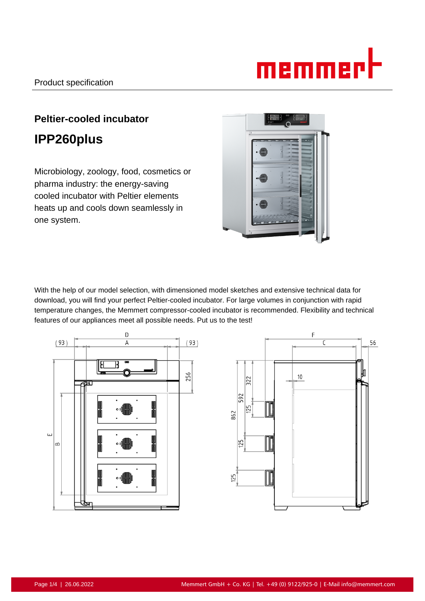# memmert

# **Peltier-cooled incubator IPP260plus**

Microbiology, zoology, food, cosmetics or pharma industry: the energy-saving cooled incubator with Peltier elements heats up and cools down seamlessly in one system.



With the help of our model selection, with dimensioned model sketches and extensive technical data for download, you will find your perfect Peltier-cooled incubator. For large volumes in conjunction with rapid temperature changes, the Memmert compressor-cooled incubator is recommended. Flexibility and technical features of our appliances meet all possible needs. Put us to the test!



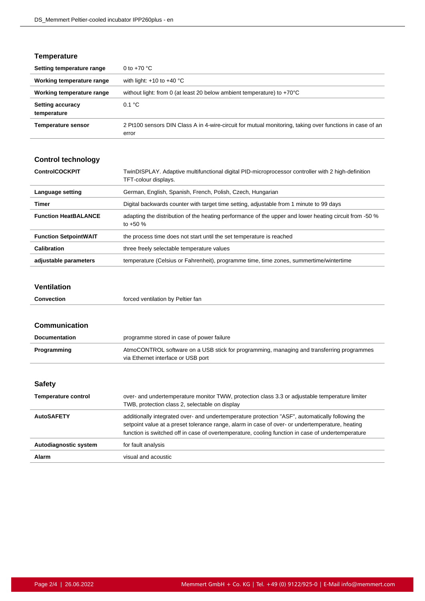### **Temperature**

| Setting temperature range              | 0 to $+70$ °C                                                                                                     |
|----------------------------------------|-------------------------------------------------------------------------------------------------------------------|
| Working temperature range              | with light: $+10$ to $+40$ °C                                                                                     |
| Working temperature range              | without light: from 0 (at least 20 below ambient temperature) to $+70^{\circ}$ C                                  |
| <b>Setting accuracy</b><br>temperature | 0.1 °C                                                                                                            |
| <b>Temperature sensor</b>              | 2 Pt100 sensors DIN Class A in 4-wire-circuit for mutual monitoring, taking over functions in case of an<br>error |

# **Control technology**

| <b>ControlCOCKPIT</b>        | TwinDISPLAY. Adaptive multifunctional digital PID-microprocessor controller with 2 high-definition<br>TFT-colour displays. |
|------------------------------|----------------------------------------------------------------------------------------------------------------------------|
| Language setting             | German, English, Spanish, French, Polish, Czech, Hungarian                                                                 |
| Timer                        | Digital backwards counter with target time setting, adjustable from 1 minute to 99 days                                    |
| <b>Function HeatBALANCE</b>  | adapting the distribution of the heating performance of the upper and lower heating circuit from -50 %<br>to $+50%$        |
| <b>Function SetpointWAIT</b> | the process time does not start until the set temperature is reached                                                       |
| <b>Calibration</b>           | three freely selectable temperature values                                                                                 |
| adjustable parameters        | temperature (Celsius or Fahrenheit), programme time, time zones, summertime/wintertime                                     |

#### **Ventilation**

| Convection | forced ventilation by Peltier fan |
|------------|-----------------------------------|
|            |                                   |

| Communication              |                                                                                                                                                                                                                                                                                                          |
|----------------------------|----------------------------------------------------------------------------------------------------------------------------------------------------------------------------------------------------------------------------------------------------------------------------------------------------------|
| <b>Documentation</b>       | programme stored in case of power failure                                                                                                                                                                                                                                                                |
| Programming                | AtmoCONTROL software on a USB stick for programming, managing and transferring programmes<br>via Ethernet interface or USB port                                                                                                                                                                          |
|                            |                                                                                                                                                                                                                                                                                                          |
| <b>Safety</b>              |                                                                                                                                                                                                                                                                                                          |
| <b>Temperature control</b> | over- and undertemperature monitor TWW, protection class 3.3 or adjustable temperature limiter<br>TWB, protection class 2, selectable on display                                                                                                                                                         |
| <b>AutoSAFETY</b>          | additionally integrated over- and undertemperature protection "ASF", automatically following the<br>setpoint value at a preset tolerance range, alarm in case of over- or undertemperature, heating<br>function is switched off in case of overtemperature, cooling function in case of undertemperature |
| Autodiagnostic system      | for fault analysis                                                                                                                                                                                                                                                                                       |
| Alarm                      | visual and acoustic                                                                                                                                                                                                                                                                                      |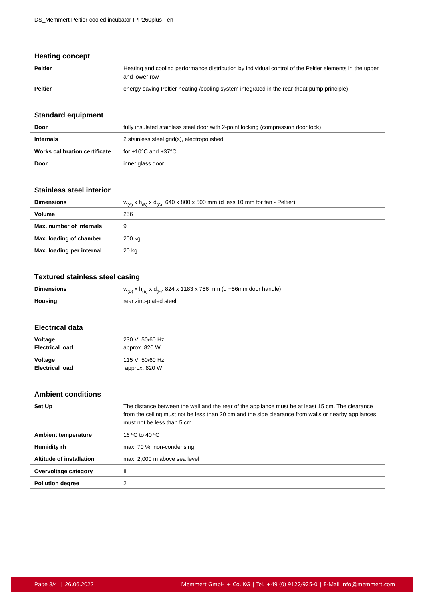### **Heating concept**

| <b>Peltier</b> | Heating and cooling performance distribution by individual control of the Peltier elements in the upper<br>and lower row |
|----------------|--------------------------------------------------------------------------------------------------------------------------|
| Peltier        | energy-saving Peltier heating-/cooling system integrated in the rear (heat pump principle)                               |

### **Standard equipment**

| Door                          | fully insulated stainless steel door with 2-point locking (compression door lock) |
|-------------------------------|-----------------------------------------------------------------------------------|
| <b>Internals</b>              | 2 stainless steel grid(s), electropolished                                        |
| Works calibration certificate | for +10°C and +37°C                                                               |
| Door                          | inner glass door                                                                  |

## **Stainless steel interior**

| <b>Dimensions</b>         | $W_{(A)} x h_{(B)} x d_{(C)}$ : 640 x 800 x 500 mm (d less 10 mm for fan - Peltier) |
|---------------------------|-------------------------------------------------------------------------------------|
| Volume                    | 256 I                                                                               |
| Max. number of internals  |                                                                                     |
| Max. loading of chamber   | 200 kg                                                                              |
| Max. loading per internal | 20 kg                                                                               |

#### **Textured stainless steel casing**

| <b>Dimensions</b> | $w_{(D)}$ x h <sub>(E)</sub> x d <sub>(F)</sub> : 824 x 1183 x 756 mm (d +56mm door handle) |
|-------------------|---------------------------------------------------------------------------------------------|
| Housing           | rear zinc-plated steel                                                                      |
|                   |                                                                                             |

#### **Electrical data**

l,

| Voltage                | 230 V, 50/60 Hz |
|------------------------|-----------------|
| <b>Electrical load</b> | approx. 820 W   |
| Voltage                | 115 V, 50/60 Hz |
| <b>Electrical load</b> | approx. 820 W   |

## **Ambient conditions**

| Set Up                     | The distance between the wall and the rear of the appliance must be at least 15 cm. The clearance<br>from the ceiling must not be less than 20 cm and the side clearance from walls or nearby appliances<br>must not be less than 5 cm. |
|----------------------------|-----------------------------------------------------------------------------------------------------------------------------------------------------------------------------------------------------------------------------------------|
| <b>Ambient temperature</b> | 16 °C to 40 °C                                                                                                                                                                                                                          |
| Humidity rh                | max. 70 %, non-condensing                                                                                                                                                                                                               |
| Altitude of installation   | max. 2,000 m above sea level                                                                                                                                                                                                            |
| Overvoltage category       | Ш                                                                                                                                                                                                                                       |
| <b>Pollution degree</b>    |                                                                                                                                                                                                                                         |